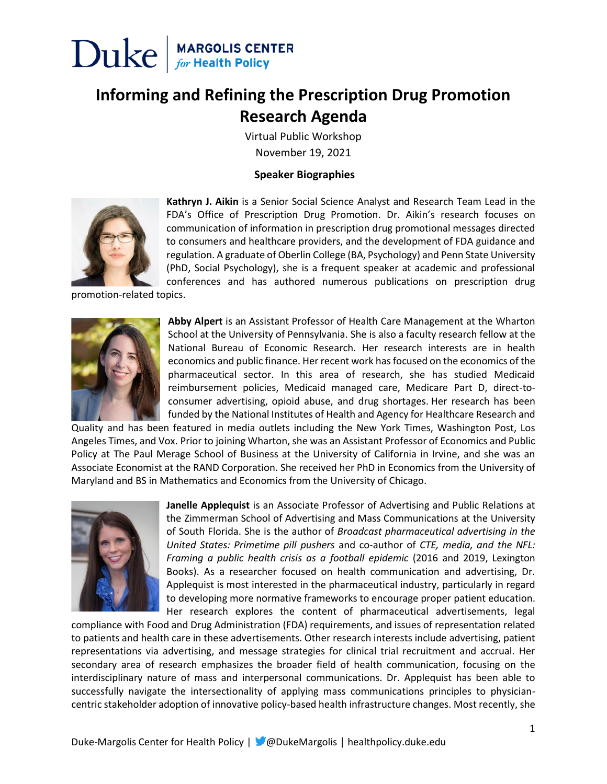

### **Informing and Refining the Prescription Drug Promotion Research Agenda**

Virtual Public Workshop November 19, 2021

#### **Speaker Biographies**



**Kathryn J. Aikin** is a Senior Social Science Analyst and Research Team Lead in the FDA's Office of Prescription Drug Promotion. Dr. Aikin's research focuses on communication of information in prescription drug promotional messages directed to consumers and healthcare providers, and the development of FDA guidance and regulation. A graduate of Oberlin College (BA, Psychology) and Penn State University (PhD, Social Psychology), she is a frequent speaker at academic and professional conferences and has authored numerous publications on prescription drug

promotion-related topics.



**Abby Alpert** is an Assistant Professor of Health Care Management at the Wharton School at the University of Pennsylvania. She is also a faculty research fellow at the National Bureau of Economic Research. Her research interests are in health economics and public finance. Her recent work has focused on the economics of the pharmaceutical sector. In this area of research, she has studied Medicaid reimbursement policies, Medicaid managed care, Medicare Part D, direct-toconsumer advertising, opioid abuse, and drug shortages. Her research has been funded by the National Institutes of Health and Agency for Healthcare Research and

Quality and has been featured in media outlets including the New York Times, Washington Post, Los Angeles Times, and Vox. Prior to joining Wharton, she was an Assistant Professor of Economics and Public Policy at The Paul Merage School of Business at the University of California in Irvine, and she was an Associate Economist at the RAND Corporation. She received her PhD in Economics from the University of Maryland and BS in Mathematics and Economics from the University of Chicago.



**Janelle Applequist** is an Associate Professor of Advertising and Public Relations at the Zimmerman School of Advertising and Mass Communications at the University of South Florida. She is the author of *Broadcast pharmaceutical advertising in the United States: Primetime pill pushers* and co-author of *CTE, media, and the NFL: Framing a public health crisis as a football epidemic* (2016 and 2019, Lexington Books). As a researcher focused on health communication and advertising, Dr. Applequist is most interested in the pharmaceutical industry, particularly in regard to developing more normative frameworks to encourage proper patient education. Her research explores the content of pharmaceutical advertisements, legal

compliance with Food and Drug Administration (FDA) requirements, and issues of representation related to patients and health care in these advertisements. Other research interests include advertising, patient representations via advertising, and message strategies for clinical trial recruitment and accrual. Her secondary area of research emphasizes the broader field of health communication, focusing on the interdisciplinary nature of mass and interpersonal communications. Dr. Applequist has been able to successfully navigate the intersectionality of applying mass communications principles to physiciancentric stakeholder adoption of innovative policy-based health infrastructure changes. Most recently, she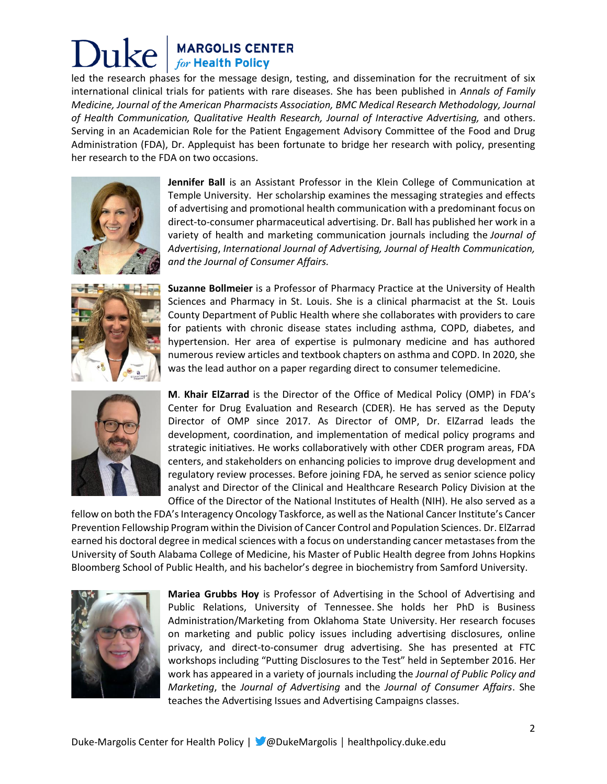## **MARGOLIS CENTER**<br>for Health Policy

led the research phases for the message design, testing, and dissemination for the recruitment of six international clinical trials for patients with rare diseases. She has been published in *Annals of Family Medicine, Journal of the American Pharmacists Association, BMC Medical Research Methodology, Journal of Health Communication, Qualitative Health Research, Journal of Interactive Advertising,* and others. Serving in an Academician Role for the Patient Engagement Advisory Committee of the Food and Drug Administration (FDA), Dr. Applequist has been fortunate to bridge her research with policy, presenting her research to the FDA on two occasions.



**Jennifer Ball** is an Assistant Professor in the Klein College of Communication at Temple University. Her scholarship examines the messaging strategies and effects of advertising and promotional health communication with a predominant focus on direct-to-consumer pharmaceutical advertising. Dr. Ball has published her work in a variety of health and marketing communication journals including the *Journal of Advertising*, *International Journal of Advertising, Journal of Health Communication, and the Journal of Consumer Affairs.*



**Suzanne Bollmeier** is a Professor of Pharmacy Practice at the University of Health Sciences and Pharmacy in St. Louis. She is a clinical pharmacist at the St. Louis County Department of Public Health where she collaborates with providers to care for patients with chronic disease states including asthma, COPD, diabetes, and hypertension. Her area of expertise is pulmonary medicine and has authored numerous review articles and textbook chapters on asthma and COPD. In 2020, she was the lead author on a paper regarding direct to consumer telemedicine.



**M**. **Khair ElZarrad** is the Director of the Office of Medical Policy (OMP) in FDA's Center for Drug Evaluation and Research (CDER). He has served as the Deputy Director of OMP since 2017. As Director of OMP, Dr. ElZarrad leads the development, coordination, and implementation of medical policy programs and strategic initiatives. He works collaboratively with other CDER program areas, FDA centers, and stakeholders on enhancing policies to improve drug development and regulatory review processes. Before joining FDA, he served as senior science policy analyst and Director of the Clinical and Healthcare Research Policy Division at the Office of the Director of the National Institutes of Health (NIH). He also served as a

fellow on both the FDA's Interagency Oncology Taskforce, as well as the National Cancer Institute's Cancer Prevention Fellowship Program within the Division of Cancer Control and Population Sciences. Dr. ElZarrad earned his doctoral degree in medical sciences with a focus on understanding cancer metastases from the University of South Alabama College of Medicine, his Master of Public Health degree from Johns Hopkins Bloomberg School of Public Health, and his bachelor's degree in biochemistry from Samford University.



**Mariea Grubbs Hoy** is Professor of Advertising in the School of Advertising and Public Relations, University of Tennessee. She holds her PhD is Business Administration/Marketing from Oklahoma State University. Her research focuses on marketing and public policy issues including advertising disclosures, online privacy, and direct-to-consumer drug advertising. She has presented at FTC workshops including "Putting Disclosures to the Test" held in September 2016. Her work has appeared in a variety of journals including the *Journal of Public Policy and Marketing*, the *Journal of Advertising* and the *Journal of Consumer Affairs*. She teaches the Advertising Issues and Advertising Campaigns classes.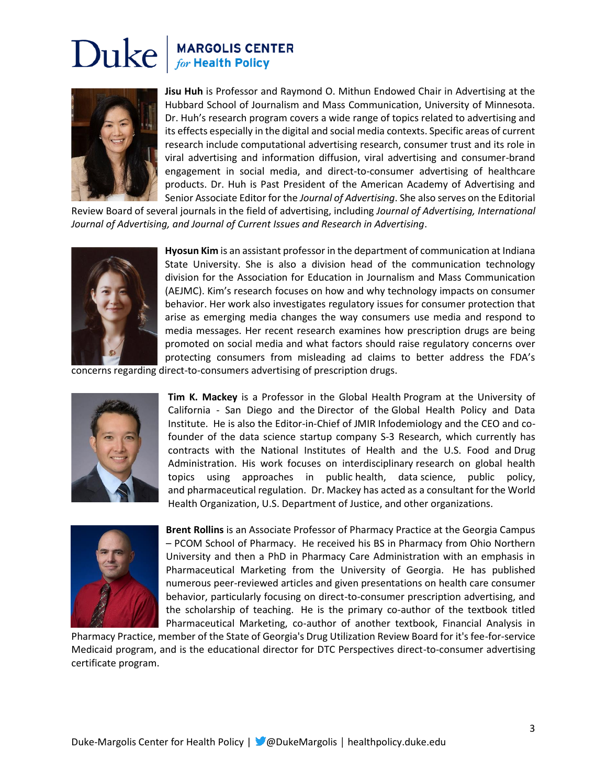# Duke

## **MARGOLIS CENTER**<br>for Health Policy



**Jisu Huh** is Professor and Raymond O. Mithun Endowed Chair in Advertising at the Hubbard School of Journalism and Mass Communication, University of Minnesota. Dr. Huh's research program covers a wide range of topics related to advertising and its effects especially in the digital and social media contexts. Specific areas of current research include computational advertising research, consumer trust and its role in viral advertising and information diffusion, viral advertising and consumer-brand engagement in social media, and direct-to-consumer advertising of healthcare products. Dr. Huh is Past President of the American Academy of Advertising and Senior Associate Editor for the *Journal of Advertising*. She also serves on the Editorial

Review Board of several journals in the field of advertising, including *Journal of Advertising, International Journal of Advertising, and Journal of Current Issues and Research in Advertising*.



**Hyosun Kim** is an assistant professor in the department of communication at Indiana State University. She is also a division head of the communication technology division for the Association for Education in Journalism and Mass Communication (AEJMC). Kim's research focuses on how and why technology impacts on consumer behavior. Her work also investigates regulatory issues for consumer protection that arise as emerging media changes the way consumers use media and respond to media messages. Her recent research examines how prescription drugs are being promoted on social media and what factors should raise regulatory concerns over protecting consumers from misleading ad claims to better address the FDA's

concerns regarding direct-to-consumers advertising of prescription drugs.



**Tim K. Mackey** is a Professor in the Global Health Program at the University of California - San Diego and the Director of the Global Health Policy and Data Institute. He is also the Editor-in-Chief of JMIR Infodemiology and the CEO and cofounder of the data science startup company S-3 Research, which currently has contracts with the National Institutes of Health and the U.S. Food and Drug Administration. His work focuses on interdisciplinary research on global health topics using approaches in public health, data science, public policy, and pharmaceutical regulation. Dr. Mackey has acted as a consultant for the World Health Organization, U.S. Department of Justice, and other organizations.



**Brent Rollins** is an Associate Professor of Pharmacy Practice at the Georgia Campus – PCOM School of Pharmacy. He received his BS in Pharmacy from Ohio Northern University and then a PhD in Pharmacy Care Administration with an emphasis in Pharmaceutical Marketing from the University of Georgia. He has published numerous peer-reviewed articles and given presentations on health care consumer behavior, particularly focusing on direct-to-consumer prescription advertising, and the scholarship of teaching. He is the primary co-author of the textbook titled Pharmaceutical Marketing, co-author of another textbook, Financial Analysis in

Pharmacy Practice, member of the State of Georgia's Drug Utilization Review Board for it's fee-for-service Medicaid program, and is the educational director for DTC Perspectives direct-to-consumer advertising certificate program.